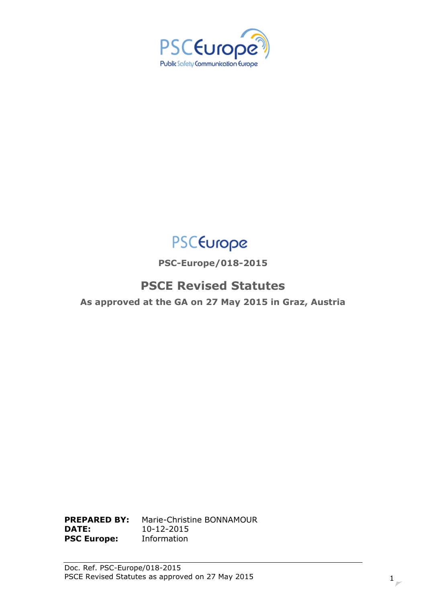



**PSC-Europe/018-2015**

# **PSCE Revised Statutes**

**As approved at the GA on 27 May 2015 in Graz, Austria**

**PREPARED BY:** Marie-Christine BONNAMOUR **DATE:** 10-12-2015 **PSC Europe:** Information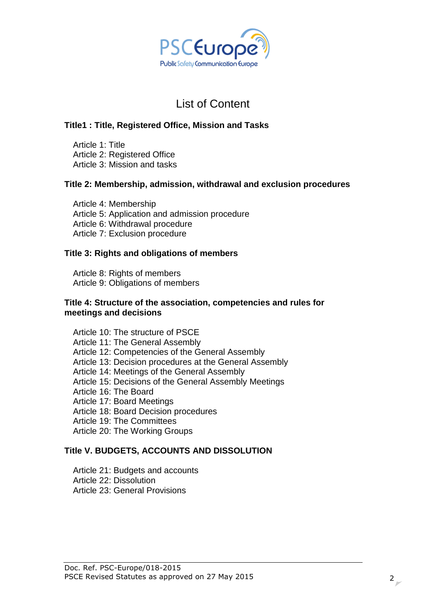

# List of Content

### **Title1 [: Title, Registered Office, Mission and Tasks](#page-2-0)**

[Article 1: Title](#page-2-1) [Article 2: Registered Office](#page-2-2) [Article 3: Mission and tasks](#page-3-0)

### **[Title 2: Membership, admission, withdrawal and exclusion procedures](#page-3-1)**

[Article 4: Membership](#page-3-2) [Article 5: Application and admission procedure](#page-5-0) [Article 6: Withdrawal procedure](#page-5-1) [Article 7: Exclusion procedure](#page-5-2)

### **[Title 3: Rights and obligations of members](#page-6-0)**

[Article 8: Rights of members](#page-6-1) [Article 9: Obligations of members](#page-6-2)

#### **[Title 4: Structure of the association, competencies and rules for](#page-6-3)  [meetings and decisions](#page-6-3)**

[Article 10: The structure of PSCE](#page-6-4) [Article 11: The General Assembly](#page-7-0) [Article 12: Competencies of the General Assembly](#page-7-1) [Article 13: Decision procedures at the General Assembly](#page-7-2) [Article 14: Meetings of the General Assembly](#page-8-0) [Article 15: Decisions of the General Assembly](#page-8-1) Meetings [Article 16: The Board](#page-9-0) [Article 17: Board Meetings](#page-10-0) [Article 18: Board Decision procedures](#page-11-0) [Article 19: The Committees](#page-11-1) [Article 20: The Working Groups](#page-12-0)

### **[Title V. BUDGETS, ACCOUNTS AND DISSOLUTION](#page-12-1)**

[Article 21: Budgets and accounts](#page-12-2) [Article 22: Dissolution](#page-13-0) [Article 23: General Provisions](#page-13-0)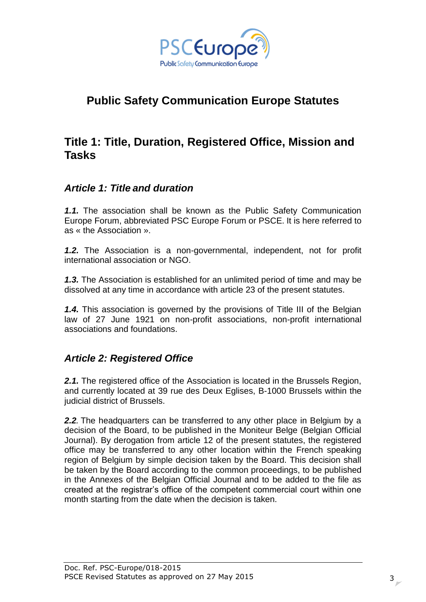

# **Public Safety Communication Europe Statutes**

# <span id="page-2-0"></span>**Title 1: Title, Duration, Registered Office, Mission and Tasks**

### <span id="page-2-1"></span>*Article 1: Title and duration*

*1.1.* The association shall be known as the Public Safety Communication Europe Forum, abbreviated PSC Europe Forum or PSCE. It is here referred to as « the Association ».

*1.2.* The Association is a non-governmental, independent, not for profit international association or NGO.

*1.3.* The Association is established for an unlimited period of time and may be dissolved at any time in accordance with article 23 of the present statutes.

*1.4.* This association is governed by the provisions of Title III of the Belgian law of 27 June 1921 on non-profit associations, non-profit international associations and foundations.

## <span id="page-2-2"></span>*Article 2: Registered Office*

*2.1.* The registered office of the Association is located in the Brussels Region, and currently located at 39 rue des Deux Eglises, B-1000 Brussels within the judicial district of Brussels.

*2.2.* The headquarters can be transferred to any other place in Belgium by a decision of the Board, to be published in the Moniteur Belge (Belgian Official Journal). By derogation from article 12 of the present statutes, the registered office may be transferred to any other location within the French speaking region of Belgium by simple decision taken by the Board. This decision shall be taken by the Board according to the common proceedings, to be published in the Annexes of the Belgian Official Journal and to be added to the file as created at the registrar's office of the competent commercial court within one month starting from the date when the decision is taken.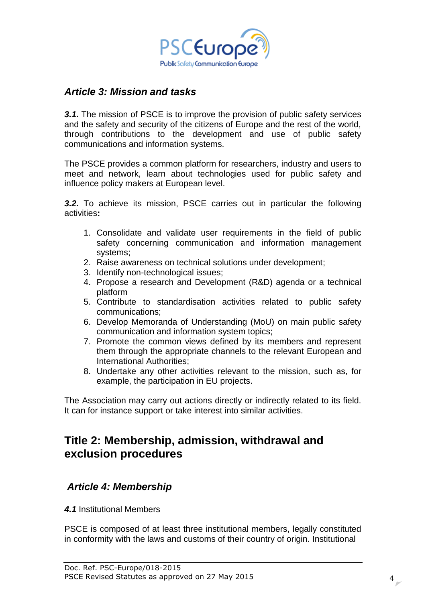

### <span id="page-3-0"></span>*Article 3: Mission and tasks*

**3.1.** The mission of PSCE is to improve the provision of public safety services and the safety and security of the citizens of Europe and the rest of the world, through contributions to the development and use of public safety communications and information systems.

The PSCE provides a common platform for researchers, industry and users to meet and network, learn about technologies used for public safety and influence policy makers at European level.

*3.2.* To achieve its mission, PSCE carries out in particular the following activities**:**

- 1. Consolidate and validate user requirements in the field of public safety concerning communication and information management systems;
- 2. Raise awareness on technical solutions under development;
- 3. Identify non-technological issues;
- 4. Propose a research and Development (R&D) agenda or a technical platform
- 5. Contribute to standardisation activities related to public safety communications;
- 6. Develop Memoranda of Understanding (MoU) on main public safety communication and information system topics;
- 7. Promote the common views defined by its members and represent them through the appropriate channels to the relevant European and International Authorities;
- 8. Undertake any other activities relevant to the mission, such as, for example, the participation in EU projects.

The Association may carry out actions directly or indirectly related to its field. It can for instance support or take interest into similar activities.

# <span id="page-3-1"></span>**Title 2: Membership, admission, withdrawal and exclusion procedures**

### <span id="page-3-2"></span>*Article 4: Membership*

*4.1* Institutional Members

PSCE is composed of at least three institutional members, legally constituted in conformity with the laws and customs of their country of origin. Institutional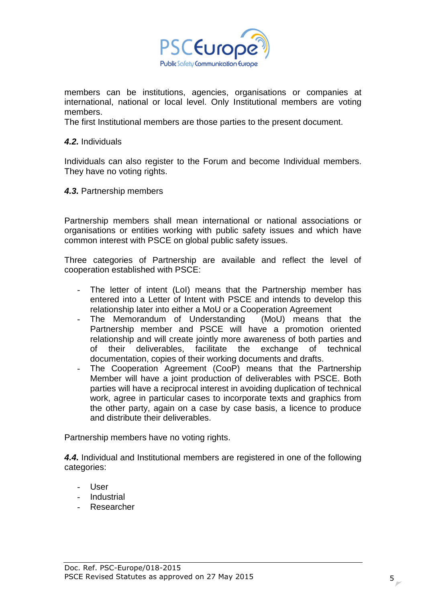

members can be institutions, agencies, organisations or companies at international, national or local level. Only Institutional members are voting members.

The first Institutional members are those parties to the present document.

#### *4.2.* Individuals

Individuals can also register to the Forum and become Individual members. They have no voting rights.

*4.3.* Partnership members

Partnership members shall mean international or national associations or organisations or entities working with public safety issues and which have common interest with PSCE on global public safety issues.

Three categories of Partnership are available and reflect the level of cooperation established with PSCE:

- The letter of intent (LoI) means that the Partnership member has entered into a Letter of Intent with PSCE and intends to develop this relationship later into either a MoU or a Cooperation Agreement
- The Memorandum of Understanding (MoU) means that the Partnership member and PSCE will have a promotion oriented relationship and will create jointly more awareness of both parties and of their deliverables, facilitate the exchange of technical documentation, copies of their working documents and drafts.
- The Cooperation Agreement (CooP) means that the Partnership Member will have a joint production of deliverables with PSCE. Both parties will have a reciprocal interest in avoiding duplication of technical work, agree in particular cases to incorporate texts and graphics from the other party, again on a case by case basis, a licence to produce and distribute their deliverables.

Partnership members have no voting rights.

*4.4.* Individual and Institutional members are registered in one of the following categories:

- User
- Industrial
- Researcher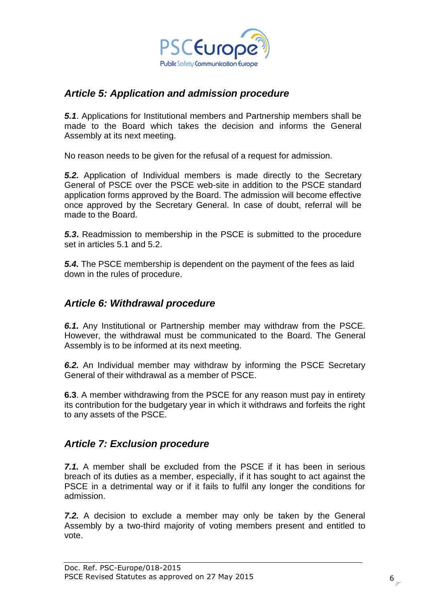

## <span id="page-5-0"></span>*Article 5: Application and admission procedure*

*5.1*. Applications for Institutional members and Partnership members shall be made to the Board which takes the decision and informs the General Assembly at its next meeting.

No reason needs to be given for the refusal of a request for admission.

*5.2.* Application of Individual members is made directly to the Secretary General of PSCE over the PSCE web-site in addition to the PSCE standard application forms approved by the Board. The admission will become effective once approved by the Secretary General. In case of doubt, referral will be made to the Board.

*5.3***.** Readmission to membership in the PSCE is submitted to the procedure set in articles 5.1 and 5.2.

*5.4.* The PSCE membership is dependent on the payment of the fees as laid down in the rules of procedure.

### <span id="page-5-1"></span>*Article 6: Withdrawal procedure*

*6.1.* Any Institutional or Partnership member may withdraw from the PSCE. However, the withdrawal must be communicated to the Board. The General Assembly is to be informed at its next meeting.

*6.2.* An Individual member may withdraw by informing the PSCE Secretary General of their withdrawal as a member of PSCE.

**6.3**. A member withdrawing from the PSCE for any reason must pay in entirety its contribution for the budgetary year in which it withdraws and forfeits the right to any assets of the PSCE.

### <span id="page-5-2"></span>*Article 7: Exclusion procedure*

*7.1.* A member shall be excluded from the PSCE if it has been in serious breach of its duties as a member, especially, if it has sought to act against the PSCE in a detrimental way or if it fails to fulfil any longer the conditions for admission.

*7.2.* A decision to exclude a member may only be taken by the General Assembly by a two-third majority of voting members present and entitled to vote.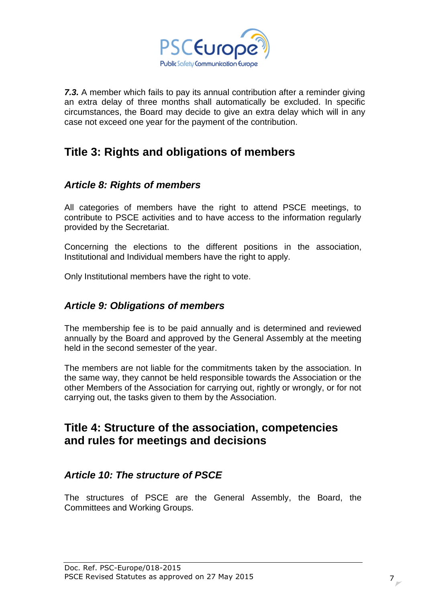

*7.3.* A member which fails to pay its annual contribution after a reminder giving an extra delay of three months shall automatically be excluded. In specific circumstances, the Board may decide to give an extra delay which will in any case not exceed one year for the payment of the contribution.

# <span id="page-6-0"></span>**Title 3: Rights and obligations of members**

# <span id="page-6-1"></span>*Article 8: Rights of members*

All categories of members have the right to attend PSCE meetings, to contribute to PSCE activities and to have access to the information regularly provided by the Secretariat.

Concerning the elections to the different positions in the association, Institutional and Individual members have the right to apply.

Only Institutional members have the right to vote.

# <span id="page-6-2"></span>*Article 9: Obligations of members*

The membership fee is to be paid annually and is determined and reviewed annually by the Board and approved by the General Assembly at the meeting held in the second semester of the year.

The members are not liable for the commitments taken by the association. In the same way, they cannot be held responsible towards the Association or the other Members of the Association for carrying out, rightly or wrongly, or for not carrying out, the tasks given to them by the Association.

# <span id="page-6-3"></span>**Title 4: Structure of the association, competencies and rules for meetings and decisions**

## <span id="page-6-4"></span>*Article 10: The structure of PSCE*

The structures of PSCE are the General Assembly, the Board, the Committees and Working Groups.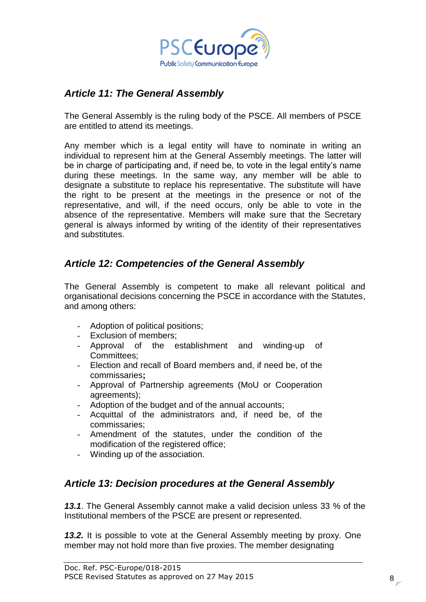

# <span id="page-7-0"></span>*Article 11: The General Assembly*

The General Assembly is the ruling body of the PSCE. All members of PSCE are entitled to attend its meetings.

Any member which is a legal entity will have to nominate in writing an individual to represent him at the General Assembly meetings. The latter will be in charge of participating and, if need be, to vote in the legal entity's name during these meetings. In the same way, any member will be able to designate a substitute to replace his representative. The substitute will have the right to be present at the meetings in the presence or not of the representative, and will, if the need occurs, only be able to vote in the absence of the representative. Members will make sure that the Secretary general is always informed by writing of the identity of their representatives and substitutes.

# <span id="page-7-1"></span>*Article 12: Competencies of the General Assembly*

The General Assembly is competent to make all relevant political and organisational decisions concerning the PSCE in accordance with the Statutes, and among others:

- Adoption of political positions:
- Exclusion of members;
- Approval of the establishment and winding-up of Committees;
- Election and recall of Board members and, if need be, of the commissaries**;**
- Approval of Partnership agreements (MoU or Cooperation agreements);
- Adoption of the budget and of the annual accounts;
- Acquittal of the administrators and, if need be, of the commissaries;
- Amendment of the statutes, under the condition of the modification of the registered office:
- Winding up of the association.

# <span id="page-7-2"></span>*Article 13: Decision procedures at the General Assembly*

*13.1*. The General Assembly cannot make a valid decision unless 33 % of the Institutional members of the PSCE are present or represented.

*13.2.* It is possible to vote at the General Assembly meeting by proxy. One member may not hold more than five proxies. The member designating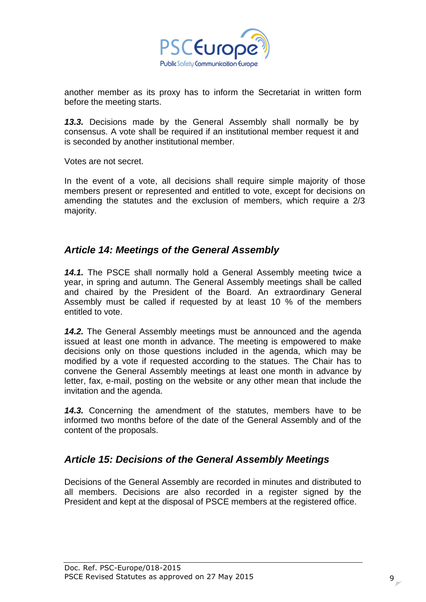

another member as its proxy has to inform the Secretariat in written form before the meeting starts.

*13.3.* Decisions made by the General Assembly shall normally be by consensus. A vote shall be required if an institutional member request it and is seconded by another institutional member.

Votes are not secret.

In the event of a vote, all decisions shall require simple majority of those members present or represented and entitled to vote, except for decisions on amending the statutes and the exclusion of members, which require a 2/3 majority.

### <span id="page-8-0"></span>*Article 14: Meetings of the General Assembly*

*14.1.* The PSCE shall normally hold a General Assembly meeting twice a year, in spring and autumn. The General Assembly meetings shall be called and chaired by the President of the Board. An extraordinary General Assembly must be called if requested by at least 10 % of the members entitled to vote.

*14.2.* The General Assembly meetings must be announced and the agenda issued at least one month in advance. The meeting is empowered to make decisions only on those questions included in the agenda, which may be modified by a vote if requested according to the statues. The Chair has to convene the General Assembly meetings at least one month in advance by letter, fax, e-mail, posting on the website or any other mean that include the invitation and the agenda.

*14.3.* Concerning the amendment of the statutes, members have to be informed two months before of the date of the General Assembly and of the content of the proposals.

## <span id="page-8-1"></span>*Article 15: Decisions of the General Assembly Meetings*

Decisions of the General Assembly are recorded in minutes and distributed to all members. Decisions are also recorded in a register signed by the President and kept at the disposal of PSCE members at the registered office.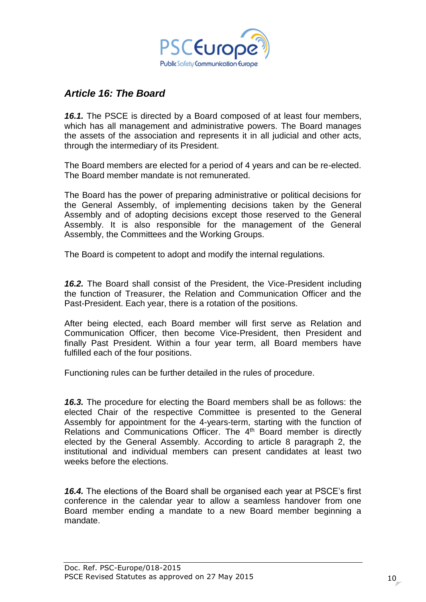

## <span id="page-9-0"></span>*Article 16: The Board*

*16.1.* The PSCE is directed by a Board composed of at least four members, which has all management and administrative powers. The Board manages the assets of the association and represents it in all judicial and other acts, through the intermediary of its President.

The Board members are elected for a period of 4 years and can be re-elected. The Board member mandate is not remunerated.

The Board has the power of preparing administrative or political decisions for the General Assembly, of implementing decisions taken by the General Assembly and of adopting decisions except those reserved to the General Assembly. It is also responsible for the management of the General Assembly, the Committees and the Working Groups.

The Board is competent to adopt and modify the internal regulations.

*16.2.* The Board shall consist of the President, the Vice-President including the function of Treasurer, the Relation and Communication Officer and the Past-President. Each year, there is a rotation of the positions.

After being elected, each Board member will first serve as Relation and Communication Officer, then become Vice-President, then President and finally Past President. Within a four year term, all Board members have fulfilled each of the four positions.

Functioning rules can be further detailed in the rules of procedure.

*16.3.* The procedure for electing the Board members shall be as follows: the elected Chair of the respective Committee is presented to the General Assembly for appointment for the 4-years-term, starting with the function of Relations and Communications Officer. The 4<sup>th</sup> Board member is directly elected by the General Assembly. According to article 8 paragraph 2, the institutional and individual members can present candidates at least two weeks before the elections.

*16.4.* The elections of the Board shall be organised each year at PSCE's first conference in the calendar year to allow a seamless handover from one Board member ending a mandate to a new Board member beginning a mandate.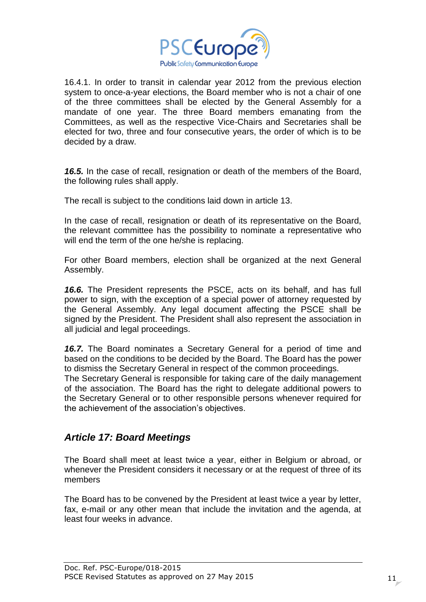

16.4.1. In order to transit in calendar year 2012 from the previous election system to once-a-year elections, the Board member who is not a chair of one of the three committees shall be elected by the General Assembly for a mandate of one year. The three Board members emanating from the Committees, as well as the respective Vice-Chairs and Secretaries shall be elected for two, three and four consecutive years, the order of which is to be decided by a draw.

*16.5.* In the case of recall, resignation or death of the members of the Board, the following rules shall apply.

The recall is subject to the conditions laid down in article 13.

In the case of recall, resignation or death of its representative on the Board, the relevant committee has the possibility to nominate a representative who will end the term of the one he/she is replacing.

For other Board members, election shall be organized at the next General Assembly.

*16.6.* The President represents the PSCE, acts on its behalf, and has full power to sign, with the exception of a special power of attorney requested by the General Assembly. Any legal document affecting the PSCE shall be signed by the President. The President shall also represent the association in all judicial and legal proceedings.

*16.7.* The Board nominates a Secretary General for a period of time and based on the conditions to be decided by the Board. The Board has the power to dismiss the Secretary General in respect of the common proceedings. The Secretary General is responsible for taking care of the daily management of the association. The Board has the right to delegate additional powers to the Secretary General or to other responsible persons whenever required for the achievement of the association's objectives.

### <span id="page-10-0"></span>*Article 17: Board Meetings*

The Board shall meet at least twice a year, either in Belgium or abroad, or whenever the President considers it necessary or at the request of three of its members

The Board has to be convened by the President at least twice a year by letter, fax, e-mail or any other mean that include the invitation and the agenda, at least four weeks in advance.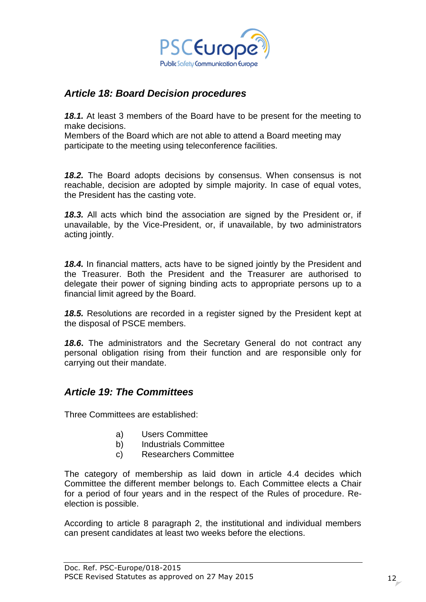

## <span id="page-11-0"></span>*Article 18: Board Decision procedures*

*18.1.* At least 3 members of the Board have to be present for the meeting to make decisions.

Members of the Board which are not able to attend a Board meeting may participate to the meeting using teleconference facilities.

*18.2.* The Board adopts decisions by consensus. When consensus is not reachable, decision are adopted by simple majority. In case of equal votes, the President has the casting vote.

*18.3.* All acts which bind the association are signed by the President or, if unavailable, by the Vice-President, or, if unavailable, by two administrators acting jointly.

*18.4.* In financial matters, acts have to be signed jointly by the President and the Treasurer. Both the President and the Treasurer are authorised to delegate their power of signing binding acts to appropriate persons up to a financial limit agreed by the Board.

*18.5.* Resolutions are recorded in a register signed by the President kept at the disposal of PSCE members.

*18.6***.** The administrators and the Secretary General do not contract any personal obligation rising from their function and are responsible only for carrying out their mandate.

### <span id="page-11-1"></span>*Article 19: The Committees*

Three Committees are established:

- a) Users Committee
- b) Industrials Committee
- c) Researchers Committee

The category of membership as laid down in article 4.4 decides which Committee the different member belongs to. Each Committee elects a Chair for a period of four years and in the respect of the Rules of procedure. Reelection is possible.

According to article 8 paragraph 2, the institutional and individual members can present candidates at least two weeks before the elections.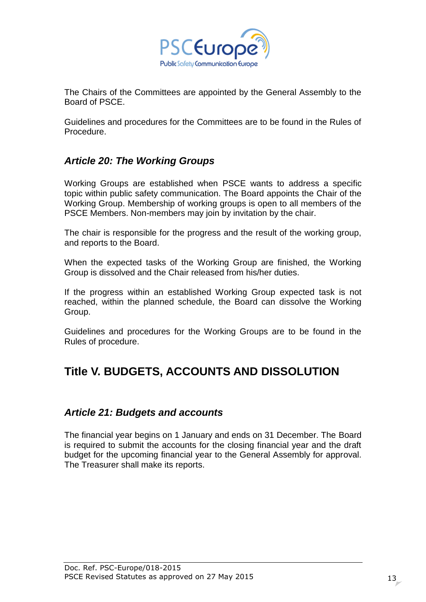

The Chairs of the Committees are appointed by the General Assembly to the Board of PSCE.

Guidelines and procedures for the Committees are to be found in the Rules of Procedure.

## <span id="page-12-0"></span>*Article 20: The Working Groups*

Working Groups are established when PSCE wants to address a specific topic within public safety communication. The Board appoints the Chair of the Working Group. Membership of working groups is open to all members of the PSCE Members. Non-members may join by invitation by the chair.

The chair is responsible for the progress and the result of the working group, and reports to the Board.

When the expected tasks of the Working Group are finished, the Working Group is dissolved and the Chair released from his/her duties.

If the progress within an established Working Group expected task is not reached, within the planned schedule, the Board can dissolve the Working Group.

Guidelines and procedures for the Working Groups are to be found in the Rules of procedure.

# <span id="page-12-2"></span><span id="page-12-1"></span>**Title V. BUDGETS, ACCOUNTS AND DISSOLUTION**

### *Article 21: Budgets and accounts*

The financial year begins on 1 January and ends on 31 December. The Board is required to submit the accounts for the closing financial year and the draft budget for the upcoming financial year to the General Assembly for approval. The Treasurer shall make its reports.